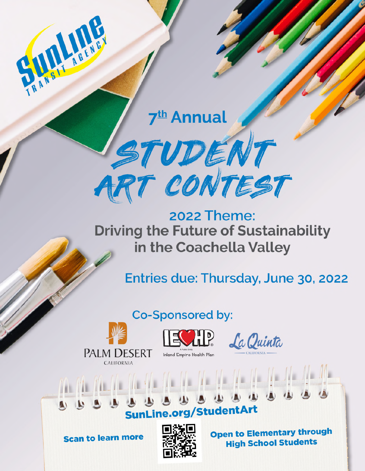7<sup>th</sup> Annual



**2022 Theme: Driving the Future of Sustainability** in the Coachella Valley

Entries due: Thursday, June 30, 2022

Co-Sponsored by:







........... SunLine.org/StudentArt

**Scan to learn more** 



**Open to Elementary through High School Students**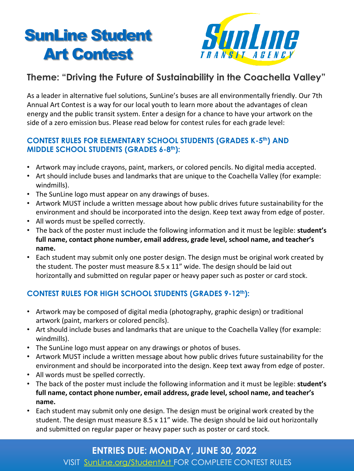# SunLine Student Art Contest



## **Theme: "Driving the Future of Sustainability in the Coachella Valley"**

As a leader in alternative fuel solutions, SunLine's buses are all environmentally friendly. Our 7th Annual Art Contest is a way for our local youth to learn more about the advantages of clean energy and the public transit system. Enter a design for a chance to have your artwork on the side of a zero emission bus. Please read below for contest rules for each grade level:

#### **CONTEST RULES FOR ELEMENTARY SCHOOL STUDENTS (GRADES K-5<sup>th</sup>) AND MIDDLE SCHOOL STUDENTS (GRADES 6-8 th):**

- Artwork may include crayons, paint, markers, or colored pencils. No digital media accepted.
- Art should include buses and landmarks that are unique to the Coachella Valley (for example: windmills).
- The SunLine logo must appear on any drawings of buses.
- Artwork MUST include a written message about how public drives future sustainability for the environment and should be incorporated into the design. Keep text away from edge of poster.
- All words must be spelled correctly.
- The back of the poster must include the following information and it must be legible: **student's full name, contact phone number, email address, grade level, school name, and teacher's name.**
- Each student may submit only one poster design. The design must be original work created by the student. The poster must measure 8.5 x 11" wide. The design should be laid out horizontally and submitted on regular paper or heavy paper such as poster or card stock.

### **CONTEST RULES FOR HIGH SCHOOL STUDENTS (GRADES 9-12th):**

- Artwork may be composed of digital media (photography, graphic design) or traditional artwork (paint, markers or colored pencils).
- Art should include buses and landmarks that are unique to the Coachella Valley (for example: windmills).
- The SunLine logo must appear on any drawings or photos of buses.
- Artwork MUST include a written message about how public drives future sustainability for the environment and should be incorporated into the design. Keep text away from edge of poster.
- All words must be spelled correctly.
- The back of the poster must include the following information and it must be legible: **student's full name, contact phone number, email address, grade level, school name, and teacher's name.**
- Each student may submit only one design. The design must be original work created by the student. The design must measure 8.5 x 11" wide. The design should be laid out horizontally and submitted on regular paper or heavy paper such as poster or card stock.